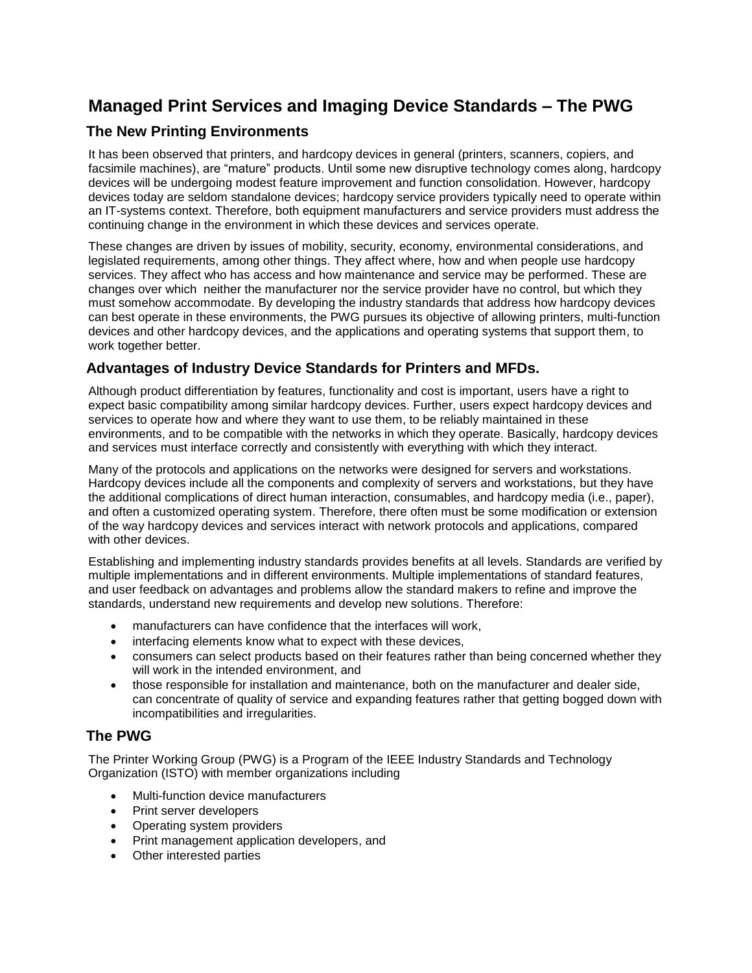# **Managed Print Services and Imaging Device Standards – The PWG**

## **The New Printing Environments**

It has been observed that printers, and hardcopy devices in general (printers, scanners, copiers, and facsimile machines), are "mature" products. Until some new disruptive technology comes along, hardcopy devices will be undergoing modest feature improvement and function consolidation. However, hardcopy devices today are seldom standalone devices; hardcopy service providers typically need to operate within an IT-systems context. Therefore, both equipment manufacturers and service providers must address the continuing change in the environment in which these devices and services operate.

These changes are driven by issues of mobility, security, economy, environmental considerations, and legislated requirements, among other things. They affect where, how and when people use hardcopy services. They affect who has access and how maintenance and service may be performed. These are changes over which neither the manufacturer nor the service provider have no control, but which they must somehow accommodate. By developing the industry standards that address how hardcopy devices can best operate in these environments, the PWG pursues its objective of allowing printers, multi-function devices and other hardcopy devices, and the applications and operating systems that support them, to work together better.

## **Advantages of Industry Device Standards for Printers and MFDs.**

Although product differentiation by features, functionality and cost is important, users have a right to expect basic compatibility among similar hardcopy devices. Further, users expect hardcopy devices and services to operate how and where they want to use them, to be reliably maintained in these environments, and to be compatible with the networks in which they operate. Basically, hardcopy devices and services must interface correctly and consistently with everything with which they interact.

Many of the protocols and applications on the networks were designed for servers and workstations. Hardcopy devices include all the components and complexity of servers and workstations, but they have the additional complications of direct human interaction, consumables, and hardcopy media (i.e., paper), and often a customized operating system. Therefore, there often must be some modification or extension of the way hardcopy devices and services interact with network protocols and applications, compared with other devices.

Establishing and implementing industry standards provides benefits at all levels. Standards are verified by multiple implementations and in different environments. Multiple implementations of standard features, and user feedback on advantages and problems allow the standard makers to refine and improve the standards, understand new requirements and develop new solutions. Therefore:

- manufacturers can have confidence that the interfaces will work,
- interfacing elements know what to expect with these devices,
- consumers can select products based on their features rather than being concerned whether they will work in the intended environment, and
- those responsible for installation and maintenance, both on the manufacturer and dealer side, can concentrate of quality of service and expanding features rather that getting bogged down with incompatibilities and irregularities.

## **The PWG**

The Printer Working Group (PWG) is a Program of the IEEE Industry Standards and Technology Organization (ISTO) with member organizations including

- Multi-function device manufacturers
- Print server developers
- Operating system providers
- Print management application developers, and
- Other interested parties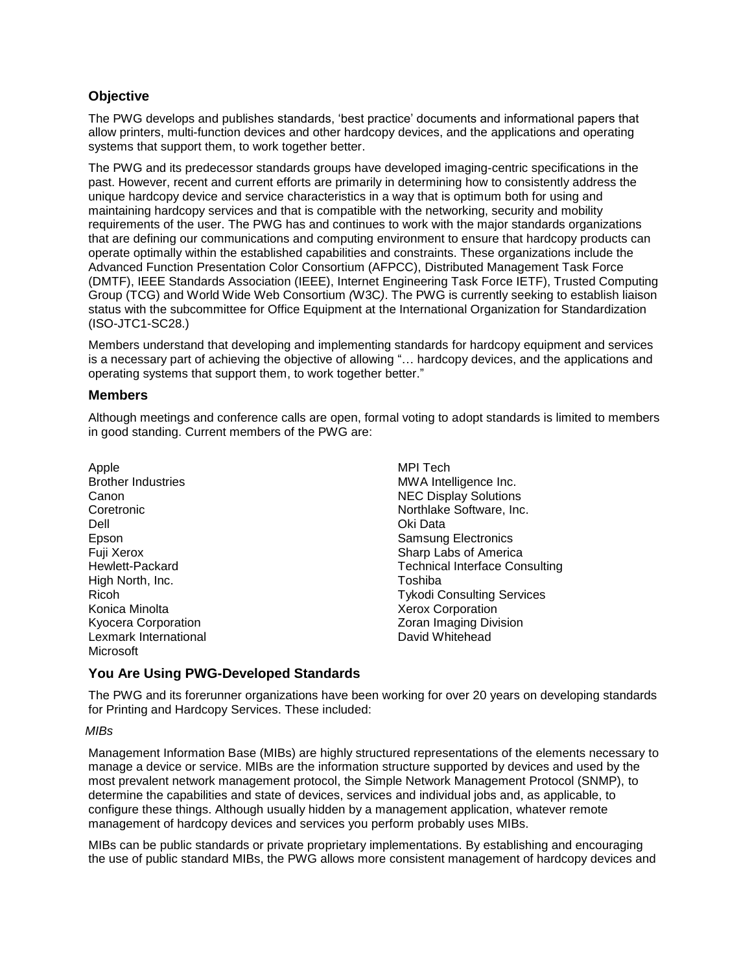## **Objective**

The PWG develops and publishes standards, "best practice" documents and informational papers that allow printers, multi-function devices and other hardcopy devices, and the applications and operating systems that support them, to work together better.

The PWG and its predecessor standards groups have developed imaging-centric specifications in the past. However, recent and current efforts are primarily in determining how to consistently address the unique hardcopy device and service characteristics in a way that is optimum both for using and maintaining hardcopy services and that is compatible with the networking, security and mobility requirements of the user. The PWG has and continues to work with the major standards organizations that are defining our communications and computing environment to ensure that hardcopy products can operate optimally within the established capabilities and constraints. These organizations include the Advanced Function Presentation Color Consortium (AFPCC), [Distributed Management Task Force](http://en.wikipedia.org/wiki/Distributed_Management_Task_Force) (DMTF), IEEE [Standards Association](http://standards.ieee.org/) (IEEE), [Internet Engineering Task Force](http://www.ietf.org/) IETF), [Trusted Computing](http://www.trustedcomputinggroup.org/)  [Group](http://www.trustedcomputinggroup.org/) (TCG) and [World Wide Web Consortium](http://www.w3.org/) *(*W3C*)*. The PWG is currently seeking to establish liaison status with the subcommittee for Office Equipment at the International Organization for Standardization (ISO-JTC1-SC28.)

Members understand that developing and implementing standards for hardcopy equipment and services is a necessary part of achieving the objective of allowing "… hardcopy devices, and the applications and operating systems that support them, to work together better."

#### **Members**

Although meetings and conference calls are open, formal voting to adopt standards is limited to members in good standing. Current members of the PWG are:

Apple Brother Industries Canon Coretronic Dell Epson Fuji Xerox Hewlett-Packard High North, Inc. Ricoh Konica Minolta Kyocera Corporation Lexmark International Microsoft

MPI Tech MWA Intelligence Inc. NEC Display Solutions Northlake Software, Inc. Oki Data Samsung Electronics Sharp Labs of America Technical Interface Consulting Toshiba Tykodi Consulting Services Xerox Corporation Zoran Imaging Division David Whitehead

#### **You Are Using PWG-Developed Standards**

The PWG and its forerunner organizations have been working for over 20 years on developing standards for Printing and Hardcopy Services. These included:

#### *MIBs*

Management Information Base (MIBs) are highly structured representations of the elements necessary to manage a device or service. MIBs are the information structure supported by devices and used by the most prevalent network management protocol, the Simple Network Management Protocol (SNMP), to determine the capabilities and state of devices, services and individual jobs and, as applicable, to configure these things. Although usually hidden by a management application, whatever remote management of hardcopy devices and services you perform probably uses MIBs.

MIBs can be public standards or private proprietary implementations. By establishing and encouraging the use of public standard MIBs, the PWG allows more consistent management of hardcopy devices and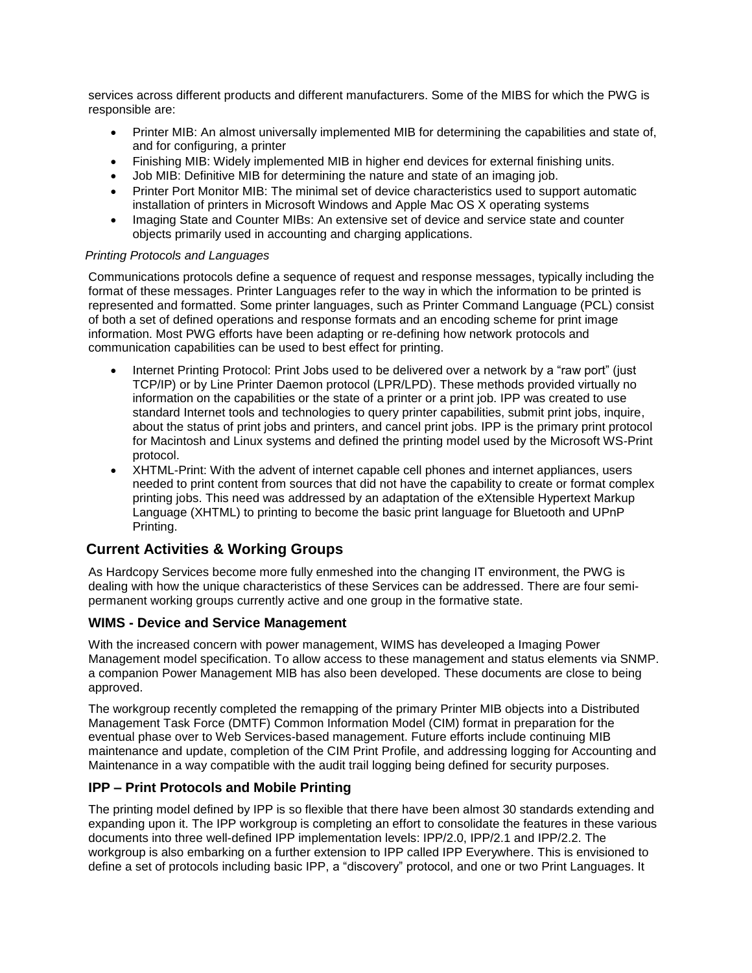services across different products and different manufacturers. Some of the MIBS for which the PWG is responsible are:

- Printer MIB: An almost universally implemented MIB for determining the capabilities and state of, and for configuring, a printer
- Finishing MIB: Widely implemented MIB in higher end devices for external finishing units.
- Job MIB: Definitive MIB for determining the nature and state of an imaging job.
- Printer Port Monitor MIB: The minimal set of device characteristics used to support automatic installation of printers in Microsoft Windows and Apple Mac OS X operating systems
- Imaging State and Counter MIBs: An extensive set of device and service state and counter objects primarily used in accounting and charging applications.

#### *Printing Protocols and Languages*

Communications protocols define a sequence of request and response messages, typically including the format of these messages. Printer Languages refer to the way in which the information to be printed is represented and formatted. Some printer languages, such as Printer Command Language (PCL) consist of both a set of defined operations and response formats and an encoding scheme for print image information. Most PWG efforts have been adapting or re-defining how network protocols and communication capabilities can be used to best effect for printing.

- Internet Printing Protocol: Print Jobs used to be delivered over a network by a "raw port" (just TCP/IP) or by Line Printer Daemon protocol (LPR/LPD). These methods provided virtually no information on the capabilities or the state of a printer or a print job. IPP was created to use standard Internet tools and technologies to query printer capabilities, submit print jobs, inquire, about the status of print jobs and printers, and cancel print jobs. IPP is the primary print protocol for Macintosh and Linux systems and defined the printing model used by the Microsoft WS-Print protocol.
- XHTML-Print: With the advent of internet capable cell phones and internet appliances, users needed to print content from sources that did not have the capability to create or format complex printing jobs. This need was addressed by an adaptation of the eXtensible Hypertext Markup Language (XHTML) to printing to become the basic print language for Bluetooth and UPnP Printing.

## **Current Activities & Working Groups**

As Hardcopy Services become more fully enmeshed into the changing IT environment, the PWG is dealing with how the unique characteristics of these Services can be addressed. There are four semipermanent working groups currently active and one group in the formative state.

#### **WIMS - Device and Service Management**

With the increased concern with power management, WIMS has develeoped a Imaging Power Management model specification. To allow access to these management and status elements via SNMP. a companion Power Management MIB has also been developed. These documents are close to being approved.

The workgroup recently completed the remapping of the primary Printer MIB objects into a Distributed Management Task Force (DMTF) Common Information Model (CIM) format in preparation for the eventual phase over to Web Services-based management. Future efforts include continuing MIB maintenance and update, completion of the CIM Print Profile, and addressing logging for Accounting and Maintenance in a way compatible with the audit trail logging being defined for security purposes.

## **IPP – Print Protocols and Mobile Printing**

The printing model defined by IPP is so flexible that there have been almost 30 standards extending and expanding upon it. The IPP workgroup is completing an effort to consolidate the features in these various documents into three well-defined IPP implementation levels: IPP/2.0, IPP/2.1 and IPP/2.2. The workgroup is also embarking on a further extension to IPP called IPP Everywhere. This is envisioned to define a set of protocols including basic IPP, a "discovery" protocol, and one or two Print Languages. It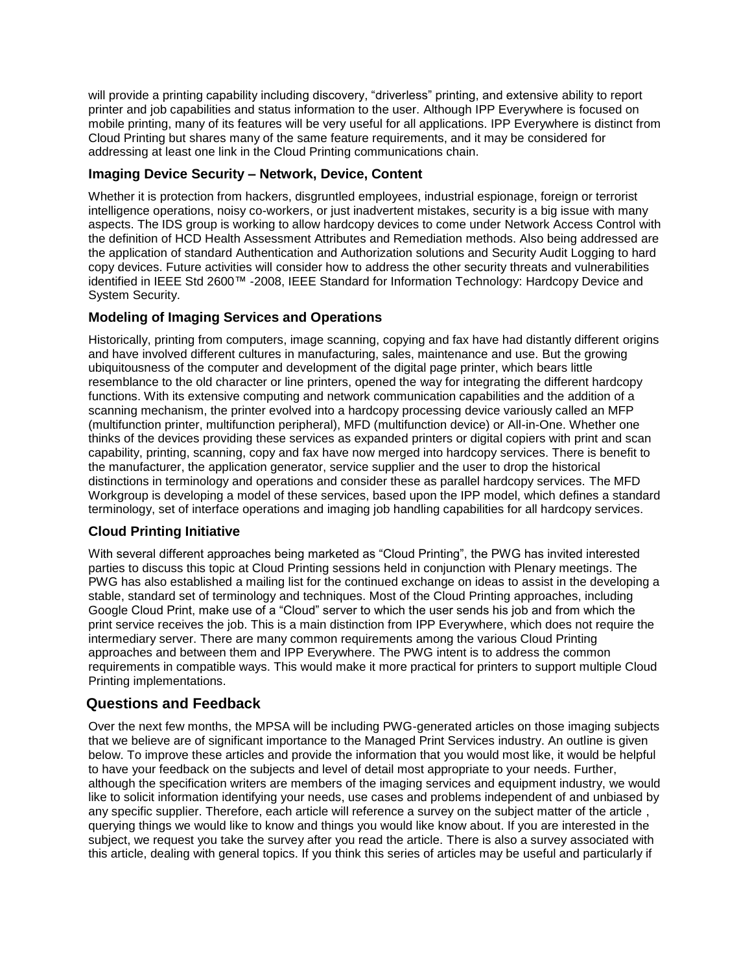will provide a printing capability including discovery, "driverless" printing, and extensive ability to report printer and job capabilities and status information to the user. Although IPP Everywhere is focused on mobile printing, many of its features will be very useful for all applications. IPP Everywhere is distinct from Cloud Printing but shares many of the same feature requirements, and it may be considered for addressing at least one link in the Cloud Printing communications chain.

### **Imaging Device Security – Network, Device, Content**

Whether it is protection from hackers, disgruntled employees, industrial espionage, foreign or terrorist intelligence operations, noisy co-workers, or just inadvertent mistakes, security is a big issue with many aspects. The IDS group is working to allow hardcopy devices to come under Network Access Control with the definition of HCD Health Assessment Attributes and Remediation methods. Also being addressed are the application of standard Authentication and Authorization solutions and Security Audit Logging to hard copy devices. Future activities will consider how to address the other security threats and vulnerabilities identified in IEEE Std 2600™ -2008, IEEE Standard for Information Technology: Hardcopy Device and System Security.

## **Modeling of Imaging Services and Operations**

Historically, printing from computers, image scanning, copying and fax have had distantly different origins and have involved different cultures in manufacturing, sales, maintenance and use. But the growing ubiquitousness of the computer and development of the digital page printer, which bears little resemblance to the old character or line printers, opened the way for integrating the different hardcopy functions. With its extensive computing and network communication capabilities and the addition of a scanning mechanism, the printer evolved into a hardcopy processing device variously called an MFP (multifunction printer, multifunction peripheral), MFD (multifunction device) or All-in-One. Whether one thinks of the devices providing these services as expanded printers or digital copiers with print and scan capability, printing, scanning, copy and fax have now merged into hardcopy services. There is benefit to the manufacturer, the application generator, service supplier and the user to drop the historical distinctions in terminology and operations and consider these as parallel hardcopy services. The MFD Workgroup is developing a model of these services, based upon the IPP model, which defines a standard terminology, set of interface operations and imaging job handling capabilities for all hardcopy services.

## **Cloud Printing Initiative**

With several different approaches being marketed as "Cloud Printing", the PWG has invited interested parties to discuss this topic at Cloud Printing sessions held in conjunction with Plenary meetings. The PWG has also established a mailing list for the continued exchange on ideas to assist in the developing a stable, standard set of terminology and techniques. Most of the Cloud Printing approaches, including Google Cloud Print, make use of a "Cloud" server to which the user sends his job and from which the print service receives the job. This is a main distinction from IPP Everywhere, which does not require the intermediary server. There are many common requirements among the various Cloud Printing approaches and between them and IPP Everywhere. The PWG intent is to address the common requirements in compatible ways. This would make it more practical for printers to support multiple Cloud Printing implementations.

## **Questions and Feedback**

Over the next few months, the MPSA will be including PWG-generated articles on those imaging subjects that we believe are of significant importance to the Managed Print Services industry. An outline is given below. To improve these articles and provide the information that you would most like, it would be helpful to have your feedback on the subjects and level of detail most appropriate to your needs. Further, although the specification writers are members of the imaging services and equipment industry, we would like to solicit information identifying your needs, use cases and problems independent of and unbiased by any specific supplier. Therefore, each article will reference a survey on the subject matter of the article , querying things we would like to know and things you would like know about. If you are interested in the subject, we request you take the survey after you read the article. There is also a survey associated with this article, dealing with general topics. If you think this series of articles may be useful and particularly if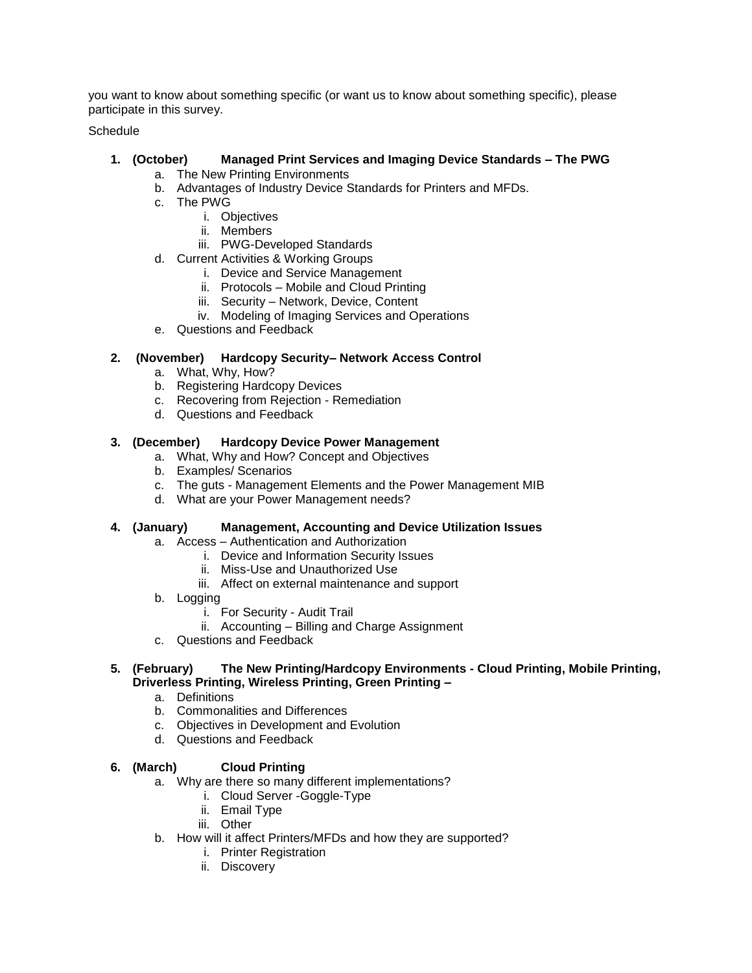you want to know about something specific (or want us to know about something specific), please participate in this survey.

Schedule

## **1. (October) Managed Print Services and Imaging Device Standards – The PWG**

- a. The New Printing Environments
- b. Advantages of Industry Device Standards for Printers and MFDs.
- c. The PWG
	- i. Objectives
	- ii. Members
	- iii. PWG-Developed Standards
- d. Current Activities & Working Groups
	- i. Device and Service Management
	- ii. Protocols Mobile and Cloud Printing
	- iii. Security Network, Device, Content
	- iv. Modeling of Imaging Services and Operations
- e. Questions and Feedback

### **2. (November) Hardcopy Security– Network Access Control**

- a. What, Why, How?
- b. Registering Hardcopy Devices
- c. Recovering from Rejection Remediation
- d. Questions and Feedback

#### **3. (December) Hardcopy Device Power Management**

- a. What, Why and How? Concept and Objectives
- b. Examples/ Scenarios
- c. The guts Management Elements and the Power Management MIB
- d. What are your Power Management needs?

#### **4. (January) Management, Accounting and Device Utilization Issues**

- a. Access Authentication and Authorization
	- i. Device and Information Security Issues
	- ii. Miss-Use and Unauthorized Use
	- iii. Affect on external maintenance and support
- b. Logging
	- i. For Security Audit Trail
	- ii. Accounting Billing and Charge Assignment
- c. Questions and Feedback

#### **5. (February) The New Printing/Hardcopy Environments - Cloud Printing, Mobile Printing, Driverless Printing, Wireless Printing, Green Printing –**

- a. Definitions
- b. Commonalities and Differences
- c. Objectives in Development and Evolution
- d. Questions and Feedback

## **6. (March) Cloud Printing**

- a. Why are there so many different implementations?
	- i. Cloud Server -Goggle-Type
	- ii. Email Type
	- iii. Other
- b. How will it affect Printers/MFDs and how they are supported?
	- i. Printer Registration
	- ii. Discovery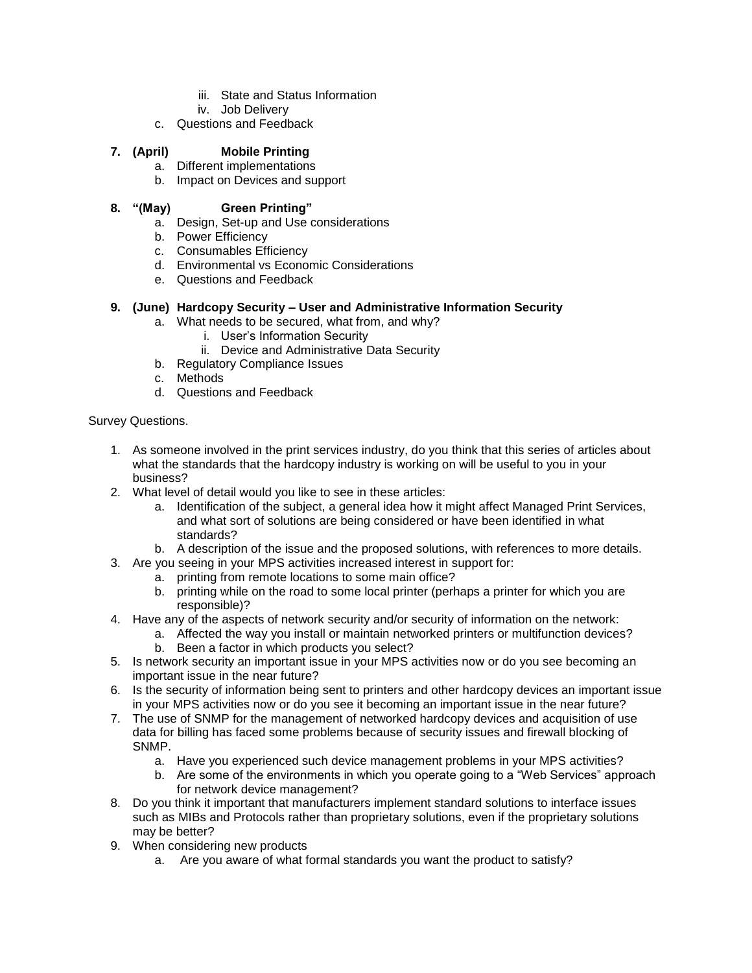- iii. State and Status Information
- iv. Job Delivery
- c. Questions and Feedback

### **7. (April) Mobile Printing**

- a. Different implementations
- b. Impact on Devices and support

### **8. "(May) Green Printing"**

- a. Design, Set-up and Use considerations
- b. Power Efficiency
- c. Consumables Efficiency
- d. Environmental vs Economic Considerations
- e. Questions and Feedback

#### **9. (June) Hardcopy Security – User and Administrative Information Security**

- a. What needs to be secured, what from, and why?
	- i. User"s Information Security
	- ii. Device and Administrative Data Security
- b. Regulatory Compliance Issues
- c. Methods
- d. Questions and Feedback

#### Survey Questions.

- 1. As someone involved in the print services industry, do you think that this series of articles about what the standards that the hardcopy industry is working on will be useful to you in your business?
- 2. What level of detail would you like to see in these articles:
	- a. Identification of the subject, a general idea how it might affect Managed Print Services, and what sort of solutions are being considered or have been identified in what standards?
	- b. A description of the issue and the proposed solutions, with references to more details.
- 3. Are you seeing in your MPS activities increased interest in support for:
	- a. printing from remote locations to some main office?
		- b. printing while on the road to some local printer (perhaps a printer for which you are responsible)?
- 4. Have any of the aspects of network security and/or security of information on the network:
	- a. Affected the way you install or maintain networked printers or multifunction devices? b. Been a factor in which products you select?
- 5. Is network security an important issue in your MPS activities now or do you see becoming an important issue in the near future?
- 6. Is the security of information being sent to printers and other hardcopy devices an important issue in your MPS activities now or do you see it becoming an important issue in the near future?
- 7. The use of SNMP for the management of networked hardcopy devices and acquisition of use data for billing has faced some problems because of security issues and firewall blocking of SNMP.
	- a. Have you experienced such device management problems in your MPS activities?
	- b. Are some of the environments in which you operate going to a "Web Services" approach for network device management?
- 8. Do you think it important that manufacturers implement standard solutions to interface issues such as MIBs and Protocols rather than proprietary solutions, even if the proprietary solutions may be better?
- 9. When considering new products
	- a. Are you aware of what formal standards you want the product to satisfy?